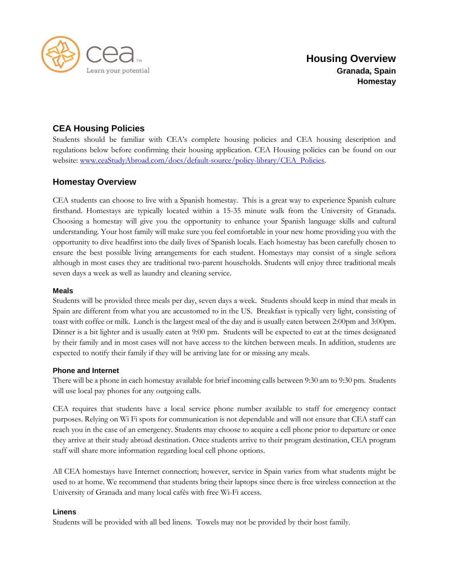

# **CEA Housing Policies**

Students should be familiar with CEA's complete housing policies and CEA housing description and regulations below before confirming their housing application. CEA Housing policies can be found on our website: [www.ceaStudyAbroad.com/docs/default-source/policy-library/CEA\\_Policies.](http://www.ceastudyabroad.com/docs/default-source/policy-library/CEA_Policies)

# **Homestay Overview**

CEA students can choose to live with a Spanish homestay. This is a great way to experience Spanish culture firsthand. Homestays are typically located within a 15-35 minute walk from the University of Granada. Choosing a homestay will give you the opportunity to enhance your Spanish language skills and cultural understanding. Your host family will make sure you feel comfortable in your new home providing you with the opportunity to dive headfirst into the daily lives of Spanish locals. Each homestay has been carefully chosen to ensure the best possible living arrangements for each student. Homestays may consist of a single señora although in most cases they are traditional two-parent households. Students will enjoy three traditional meals seven days a week as well as laundry and cleaning service.

# **Meals**

Students will be provided three meals per day, seven days a week. Students should keep in mind that meals in Spain are different from what you are accustomed to in the US. Breakfast is typically very light, consisting of toast with coffee or milk. Lunch is the largest meal of the day and is usually eaten between 2:00pm and 3:00pm. Dinner is a bit lighter and is usually eaten at 9:00 pm. Students will be expected to eat at the times designated by their family and in most cases will not have access to the kitchen between meals. In addition, students are expected to notify their family if they will be arriving late for or missing any meals.

# **Phone and Internet**

There will be a phone in each homestay available for brief incoming calls between 9:30 am to 9:30 pm. Students will use local pay phones for any outgoing calls.

CEA requires that students have a local service phone number available to staff for emergency contact purposes. Relying on Wi Fi spots for communication is not dependable and will not ensure that CEA staff can reach you in the case of an emergency. Students may choose to acquire a cell phone prior to departure or once they arrive at their study abroad destination. Once students arrive to their program destination, CEA program staff will share more information regarding local cell phone options.

All CEA homestays have Internet connection; however, service in Spain varies from what students might be used to at home. We recommend that students bring their laptops since there is free wireless connection at the University of Granada and many local cafés with free Wi-Fi access.

# **Linens**

Students will be provided with all bed linens. Towels may not be provided by their host family.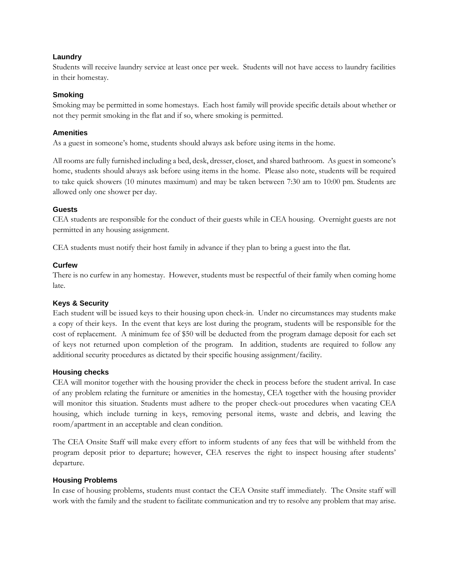# **Laundry**

Students will receive laundry service at least once per week. Students will not have access to laundry facilities in their homestay.

#### **Smoking**

Smoking may be permitted in some homestays. Each host family will provide specific details about whether or not they permit smoking in the flat and if so, where smoking is permitted.

#### **Amenities**

As a guest in someone's home, students should always ask before using items in the home.

All rooms are fully furnished including a bed, desk, dresser, closet, and shared bathroom. As guest in someone's home, students should always ask before using items in the home. Please also note, students will be required to take quick showers (10 minutes maximum) and may be taken between 7:30 am to 10:00 pm. Students are allowed only one shower per day.

#### **Guests**

CEA students are responsible for the conduct of their guests while in CEA housing. Overnight guests are not permitted in any housing assignment.

CEA students must notify their host family in advance if they plan to bring a guest into the flat.

#### **Curfew**

There is no curfew in any homestay. However, students must be respectful of their family when coming home late.

#### **Keys & Security**

Each student will be issued keys to their housing upon check-in. Under no circumstances may students make a copy of their keys. In the event that keys are lost during the program, students will be responsible for the cost of replacement. A minimum fee of \$50 will be deducted from the program damage deposit for each set of keys not returned upon completion of the program. In addition, students are required to follow any additional security procedures as dictated by their specific housing assignment/facility.

#### **Housing checks**

CEA will monitor together with the housing provider the check in process before the student arrival. In case of any problem relating the furniture or amenities in the homestay, CEA together with the housing provider will monitor this situation. Students must adhere to the proper check-out procedures when vacating CEA housing, which include turning in keys, removing personal items, waste and debris, and leaving the room/apartment in an acceptable and clean condition.

The CEA Onsite Staff will make every effort to inform students of any fees that will be withheld from the program deposit prior to departure; however, CEA reserves the right to inspect housing after students' departure.

#### **Housing Problems**

In case of housing problems, students must contact the CEA Onsite staff immediately. The Onsite staff will work with the family and the student to facilitate communication and try to resolve any problem that may arise.